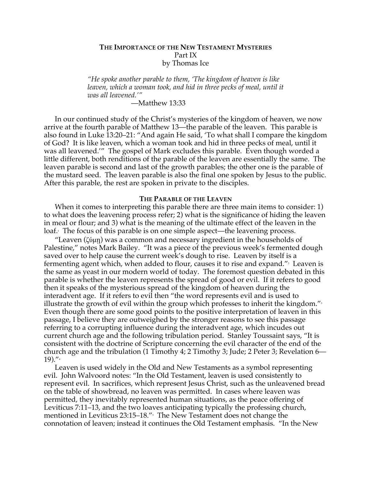# **THE IMPORTANCE OF THE NEW TESTAMENT MYSTERIES** Part IX by Thomas Ice

*"He spoke another parable to them, 'The kingdom of heaven is like leaven, which a woman took, and hid in three pecks of meal, until it was all leavened.'"*

—Matthew 13:33

In our continued study of the Christ's mysteries of the kingdom of heaven, we now arrive at the fourth parable of Matthew 13—the parable of the leaven. This parable is also found in Luke 13:20–21: "And again He said, 'To what shall I compare the kingdom of God? It is like leaven, which a woman took and hid in three pecks of meal, until it was all leavened.'" The gospel of Mark excludes this parable. Even though worded a little different, both renditions of the parable of the leaven are essentially the same. The leaven parable is second and last of the growth parables; the other one is the parable of the mustard seed. The leaven parable is also the final one spoken by Jesus to the public. After this parable, the rest are spoken in private to the disciples.

#### **THE PARABLE OF THE LEAVEN**

When it comes to interpreting this parable there are three main items to consider: 1) to what does the leavening process refer; 2) what is the significance of hiding the leaven in meal or flour; and 3) what is the meaning of the ultimate effect of the leaven in the loaf.1 The focus of this parable is on one simple aspect—the leavening process.

"Leaven (ζύµῃ) was a common and necessary ingredient in the households of Palestine," notes Mark Bailey. "It was a piece of the previous week's fermented dough saved over to help cause the current week's dough to rise. Leaven by itself is a fermenting agent which, when added to flour, causes it to rise and expand. $^{\prime\prime}$  Leaven is the same as yeast in our modern world of today. The foremost question debated in this parable is whether the leaven represents the spread of good or evil. If it refers to good then it speaks of the mysterious spread of the kingdom of heaven during the interadvent age. If it refers to evil then "the word represents evil and is used to illustrate the growth of evil within the group which professes to inherit the kingdom." $^{\text{\tiny{3}}}$ Even though there are some good points to the positive interpretation of leaven in this passage, I believe they are outweighed by the stronger reasons to see this passage referring to a corrupting influence during the interadvent age, which incudes out current church age and the following tribulation period. Stanley Toussaint says, "It is consistent with the doctrine of Scripture concerning the evil character of the end of the church age and the tribulation (1 Timothy 4; 2 Timothy 3; Jude; 2 Peter 3; Revelation 6—  $19)$ ." $4$ 

Leaven is used widely in the Old and New Testaments as a symbol representing evil. John Walvoord notes: "In the Old Testament, leaven is used consistently to represent evil. In sacrifices, which represent Jesus Christ, such as the unleavened bread on the table of showbread, no leaven was permitted. In cases where leaven was permitted, they inevitably represented human situations, as the peace offering of Leviticus 7:11–13, and the two loaves anticipating typically the professing church, mentioned in Leviticus 23:15–18."5 The New Testament does not change the connotation of leaven; instead it continues the Old Testament emphasis. "In the New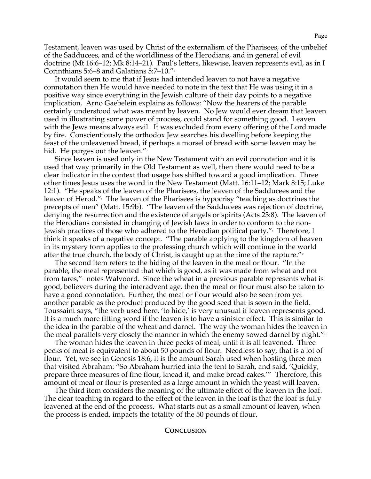Testament, leaven was used by Christ of the externalism of the Pharisees, of the unbelief of the Sadducees, and of the worldliness of the Herodians, and in general of evil doctrine (Mt 16:6–12; Mk 8:14–21). Paul's letters, likewise, leaven represents evil, as in I Corinthians 5:6–8 and Galatians 5:7–10."6

It would seem to me that if Jesus had intended leaven to not have a negative connotation then He would have needed to note in the text that He was using it in a positive way since everything in the Jewish culture of their day points to a negative implication. Arno Gaebelein explains as follows: "Now the hearers of the parable certainly understood what was meant by leaven. No Jew would ever dream that leaven used in illustrating some power of process, could stand for something good. Leaven with the Jews means always evil. It was excluded from every offering of the Lord made by fire. Conscientiously the orthodox Jew searches his dwelling before keeping the feast of the unleavened bread, if perhaps a morsel of bread with some leaven may be hid. He purges out the leaven." $\frac{1}{2}$ 

Since leaven is used only in the New Testament with an evil connotation and it is used that way primarily in the Old Testament as well, then there would need to be a clear indicator in the context that usage has shifted toward a good implication. Three other times Jesus uses the word in the New Testament (Matt. 16:11–12; Mark 8:15; Luke 12:1). "He speaks of the leaven of the Pharisees, the leaven of the Sadducees and the leaven of Herod."8 The leaven of the Pharisees is hypocrisy "teaching as doctrines the precepts of men" (Matt. 15:9b). "The leaven of the Sadducees was rejection of doctrine, denying the resurrection and the existence of angels or spirits (Acts 23:8). The leaven of the Herodians consisted in changing of Jewish laws in order to conform to the non-Jewish practices of those who adhered to the Herodian political party."<sup>,</sup> Therefore, I think it speaks of a negative concept. "The parable applying to the kingdom of heaven in its mystery form applies to the professing church which will continue in the world after the true church, the body of Christ, is caught up at the time of the rapture." $\cdot$ 

The second item refers to the hiding of the leaven in the meal or flour. "In the parable, the meal represented that which is good, as it was made from wheat and not from tares, $\mathbf{w}_1$  notes Walvoord. Since the wheat in a previous parable represents what is good, believers during the interadvent age, then the meal or flour must also be taken to have a good connotation. Further, the meal or flour would also be seen from yet another parable as the product produced by the good seed that is sown in the field. Toussaint says, "the verb used here, 'to hide,' is very unusual if leaven represents good. It is a much more fitting word if the leaven is to have a sinister effect. This is similar to the idea in the parable of the wheat and darnel. The way the woman hides the leaven in the meal parallels very closely the manner in which the enemy sowed darnel by night." $22$ 

The woman hides the leaven in three pecks of meal, until it is all leavened. Three pecks of meal is equivalent to about 50 pounds of flour. Needless to say, that is a lot of flour. Yet, we see in Genesis 18:6, it is the amount Sarah used when hosting three men that visited Abraham: "So Abraham hurried into the tent to Sarah, and said, 'Quickly, prepare three measures of fine flour, knead it, and make bread cakes.'" Therefore, this amount of meal or flour is presented as a large amount in which the yeast will leaven.

The third item considers the meaning of the ultimate effect of the leaven in the loaf. The clear teaching in regard to the effect of the leaven in the loaf is that the loaf is fully leavened at the end of the process. What starts out as a small amount of leaven, when the process is ended, impacts the totality of the 50 pounds of flour.

## **CONCLUSION**